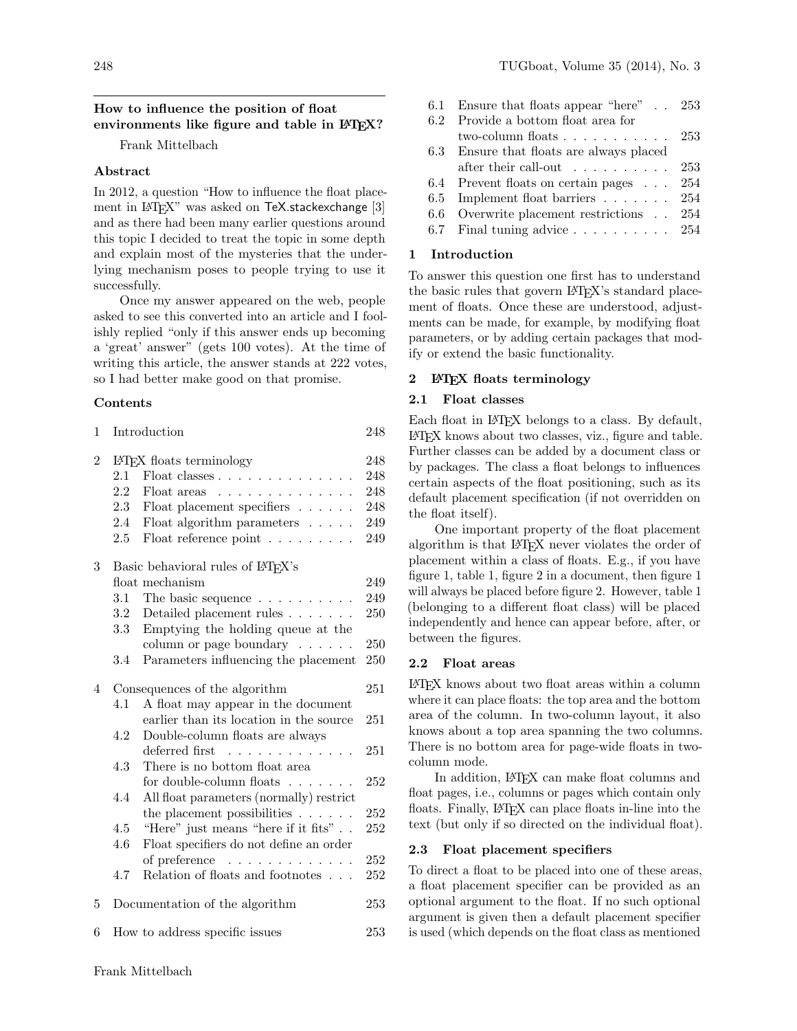#### 248 TUGboat, Volume 35 (2014), No. 3

# How to influence the position of float environments like figure and table in LAT<sub>EX</sub>?

Frank Mittelbach

## Abstract

In 2012, a question "How to influence the float placement in L<sup>A</sup>TEX" was asked on TeX.stackexchange [3] and as there had been many earlier questions around this topic I decided to treat the topic in some depth and explain most of the mysteries that the underlying mechanism poses to people trying to use it successfully.

Once my answer appeared on the web, people asked to see this converted into an article and I foolishly replied "only if this answer ends up becoming a 'great' answer" (gets 100 votes). At the time of writing this article, the answer stands at 222 votes, so I had better make good on that promise.

#### Contents

| $\mathbf 1$    |                                   | Introduction                                       | 248 |  |
|----------------|-----------------------------------|----------------------------------------------------|-----|--|
| $\overline{2}$ | IATFX floats terminology          |                                                    | 248 |  |
|                | 2.1                               | Float classes $\ldots \ldots \ldots \ldots \ldots$ | 248 |  |
|                | $2.2\,$                           | Float areas                                        | 248 |  |
|                | 2.3                               | Float placement specifiers                         | 248 |  |
|                | 2.4                               | Float algorithm parameters                         | 249 |  |
|                | 2.5                               | Float reference point                              | 249 |  |
| 3              | Basic behavioral rules of IATFX's |                                                    |     |  |
|                |                                   | float mechanism                                    | 249 |  |
|                | $3.1\,$                           | The basic sequence $\dots \dots \dots$             | 249 |  |
|                | 3.2                               | Detailed placement rules $\ldots \ldots$           | 250 |  |
|                | $3.3\,$                           | Emptying the holding queue at the                  |     |  |
|                |                                   | column or page boundary $\dots \dots$              | 250 |  |
|                | 3.4                               | Parameters influencing the placement               | 250 |  |
| 4              | Consequences of the algorithm     |                                                    | 251 |  |
|                | 4.1                               | A float may appear in the document                 |     |  |
|                |                                   | earlier than its location in the source            | 251 |  |
|                | 4.2                               | Double-column floats are always                    |     |  |
|                |                                   | deferred first<br>.                                | 251 |  |
|                | 4.3                               | There is no bottom float area                      |     |  |
|                |                                   | for double-column floats $\ldots \ldots$           | 252 |  |
|                | 4.4                               | All float parameters (normally) restrict           |     |  |
|                |                                   | the placement possibilities $\ldots$               | 252 |  |
|                | 4.5                               | "Here" just means "here if it fits" $\ldots$       | 252 |  |
|                | 4.6                               | Float specifiers do not define an order            |     |  |
|                |                                   | of preference                                      | 252 |  |
|                | 4.7                               | Relation of floats and footnotes $\ldots$          | 252 |  |
| 5              |                                   | Documentation of the algorithm                     | 253 |  |
| 6              |                                   | How to address specific issues                     | 253 |  |

| 6.1 Ensure that floats appear "here" 253            |     |
|-----------------------------------------------------|-----|
| 6.2 Provide a bottom float area for                 |     |
| two-column floats $\ldots \ldots \ldots \ldots 253$ |     |
| 6.3 Ensure that floats are always placed            |     |
| after their call-out $\dots \dots \dots \dots 253$  |     |
| 6.4 Prevent floats on certain pages                 | 254 |
| 6.5 Implement float barriers $\ldots \ldots$ 254    |     |
| 6.6 Overwrite placement restrictions 254            |     |
| 6.7 Final tuning advice $\ldots \ldots \ldots 254$  |     |
|                                                     |     |

# 1 Introduction

To answer this question one first has to understand the basic rules that govern LAT<sub>EX</sub>'s standard placement of floats. Once these are understood, adjustments can be made, for example, by modifying float parameters, or by adding certain packages that modify or extend the basic functionality.

#### 2 LATEX floats terminology

## 2.1 Float classes

Each float in IATEX belongs to a class. By default, LATEX knows about two classes, viz., figure and table. Further classes can be added by a document class or by packages. The class a float belongs to influences certain aspects of the float positioning, such as its default placement specification (if not overridden on the float itself).

One important property of the float placement algorithm is that LATEX never violates the order of placement within a class of floats. E.g., if you have figure 1, table 1, figure 2 in a document, then figure 1 will always be placed before figure 2. However, table 1 (belonging to a different float class) will be placed independently and hence can appear before, after, or between the figures.

## 2.2 Float areas

LATEX knows about two float areas within a column where it can place floats: the top area and the bottom area of the column. In two-column layout, it also knows about a top area spanning the two columns. There is no bottom area for page-wide floats in twocolumn mode.

In addition, LAT<sub>E</sub>X can make float columns and float pages, i.e., columns or pages which contain only floats. Finally, LATEX can place floats in-line into the text (but only if so directed on the individual float).

# 2.3 Float placement specifiers

To direct a float to be placed into one of these areas, a float placement specifier can be provided as an optional argument to the float. If no such optional argument is given then a default placement specifier is used (which depends on the float class as mentioned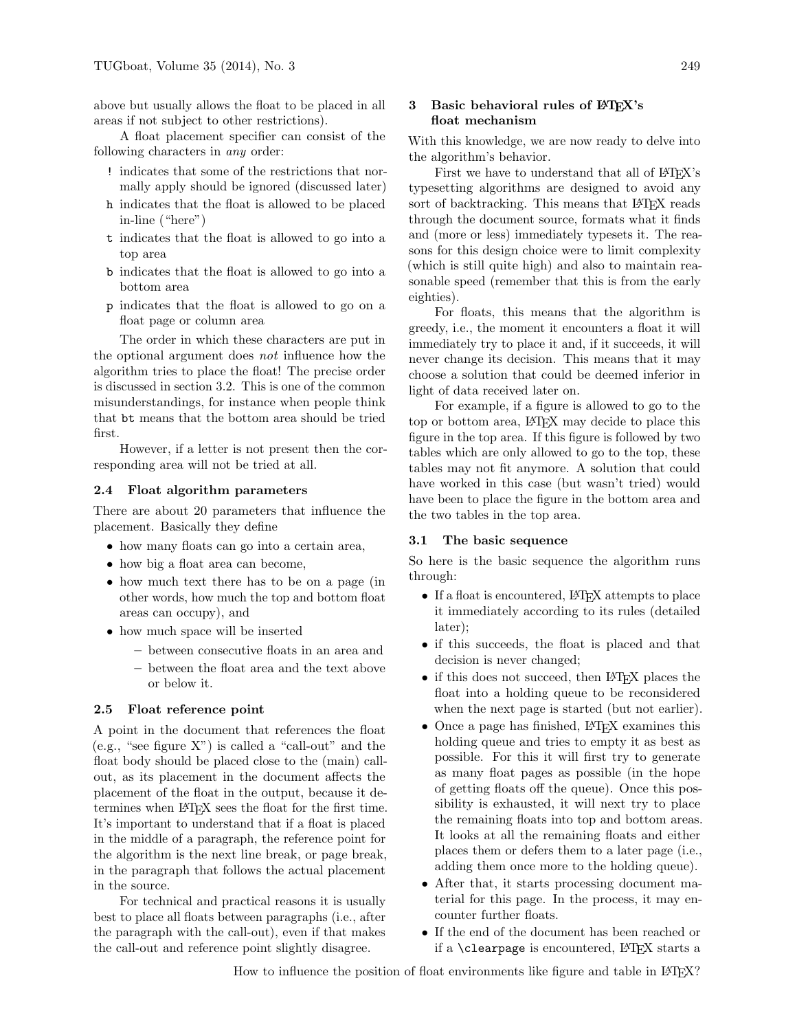above but usually allows the float to be placed in all areas if not subject to other restrictions).

A float placement specifier can consist of the following characters in any order:

- ! indicates that some of the restrictions that normally apply should be ignored (discussed later)
- h indicates that the float is allowed to be placed in-line ("here")
- t indicates that the float is allowed to go into a top area
- b indicates that the float is allowed to go into a bottom area
- p indicates that the float is allowed to go on a float page or column area

The order in which these characters are put in the optional argument does not influence how the algorithm tries to place the float! The precise order is discussed in section 3.2. This is one of the common misunderstandings, for instance when people think that bt means that the bottom area should be tried first.

However, if a letter is not present then the corresponding area will not be tried at all.

#### 2.4 Float algorithm parameters

There are about 20 parameters that influence the placement. Basically they define

- how many floats can go into a certain area,
- how big a float area can become,
- how much text there has to be on a page (in other words, how much the top and bottom float areas can occupy), and
- how much space will be inserted
	- between consecutive floats in an area and
	- between the float area and the text above or below it.

## 2.5 Float reference point

A point in the document that references the float (e.g., "see figure X") is called a "call-out" and the float body should be placed close to the (main) callout, as its placement in the document affects the placement of the float in the output, because it determines when LATEX sees the float for the first time. It's important to understand that if a float is placed in the middle of a paragraph, the reference point for the algorithm is the next line break, or page break, in the paragraph that follows the actual placement in the source.

For technical and practical reasons it is usually best to place all floats between paragraphs (i.e., after the paragraph with the call-out), even if that makes the call-out and reference point slightly disagree.

# 3 Basic behavioral rules of LATEX's float mechanism

With this knowledge, we are now ready to delve into the algorithm's behavior.

First we have to understand that all of LATEX's typesetting algorithms are designed to avoid any sort of backtracking. This means that L<sup>AT</sup>EX reads through the document source, formats what it finds and (more or less) immediately typesets it. The reasons for this design choice were to limit complexity (which is still quite high) and also to maintain reasonable speed (remember that this is from the early eighties).

For floats, this means that the algorithm is greedy, i.e., the moment it encounters a float it will immediately try to place it and, if it succeeds, it will never change its decision. This means that it may choose a solution that could be deemed inferior in light of data received later on.

For example, if a figure is allowed to go to the top or bottom area, LATEX may decide to place this figure in the top area. If this figure is followed by two tables which are only allowed to go to the top, these tables may not fit anymore. A solution that could have worked in this case (but wasn't tried) would have been to place the figure in the bottom area and the two tables in the top area.

#### 3.1 The basic sequence

So here is the basic sequence the algorithm runs through:

- If a float is encountered, LAT<sub>EX</sub> attempts to place it immediately according to its rules (detailed later);
- if this succeeds, the float is placed and that decision is never changed;
- if this does not succeed, then LAT<sub>EX</sub> places the float into a holding queue to be reconsidered when the next page is started (but not earlier).
- Once a page has finished, LAT<sub>EX</sub> examines this holding queue and tries to empty it as best as possible. For this it will first try to generate as many float pages as possible (in the hope of getting floats off the queue). Once this possibility is exhausted, it will next try to place the remaining floats into top and bottom areas. It looks at all the remaining floats and either places them or defers them to a later page (i.e., adding them once more to the holding queue).
- After that, it starts processing document material for this page. In the process, it may encounter further floats.
- If the end of the document has been reached or if a \clearpage is encountered,  $IATFX$  starts a

How to influence the position of float environments like figure and table in LATEX?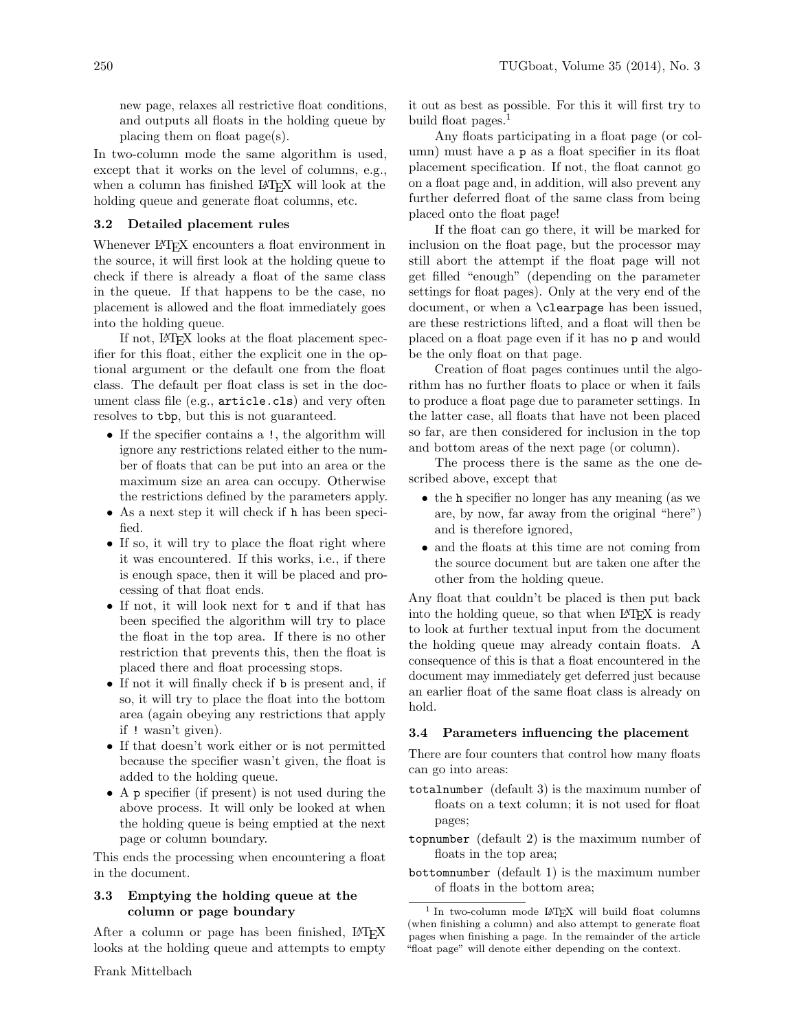new page, relaxes all restrictive float conditions, and outputs all floats in the holding queue by placing them on float page(s).

In two-column mode the same algorithm is used, except that it works on the level of columns, e.g., when a column has finished IATFX will look at the holding queue and generate float columns, etc.

#### 3.2 Detailed placement rules

Whenever L<sup>AT</sup>FX encounters a float environment in the source, it will first look at the holding queue to check if there is already a float of the same class in the queue. If that happens to be the case, no placement is allowed and the float immediately goes into the holding queue.

If not, LATEX looks at the float placement specifier for this float, either the explicit one in the optional argument or the default one from the float class. The default per float class is set in the document class file (e.g., article.cls) and very often resolves to tbp, but this is not guaranteed.

- If the specifier contains a !, the algorithm will ignore any restrictions related either to the number of floats that can be put into an area or the maximum size an area can occupy. Otherwise the restrictions defined by the parameters apply.
- As a next step it will check if h has been specified.
- If so, it will try to place the float right where it was encountered. If this works, i.e., if there is enough space, then it will be placed and processing of that float ends.
- If not, it will look next for t and if that has been specified the algorithm will try to place the float in the top area. If there is no other restriction that prevents this, then the float is placed there and float processing stops.
- If not it will finally check if **b** is present and, if so, it will try to place the float into the bottom area (again obeying any restrictions that apply if ! wasn't given).
- If that doesn't work either or is not permitted because the specifier wasn't given, the float is added to the holding queue.
- A p specifier (if present) is not used during the above process. It will only be looked at when the holding queue is being emptied at the next page or column boundary.

This ends the processing when encountering a float in the document.

## 3.3 Emptying the holding queue at the column or page boundary

After a column or page has been finished, LATEX looks at the holding queue and attempts to empty

it out as best as possible. For this it will first try to build float pages. $<sup>1</sup>$ </sup>

Any floats participating in a float page (or column) must have a p as a float specifier in its float placement specification. If not, the float cannot go on a float page and, in addition, will also prevent any further deferred float of the same class from being placed onto the float page!

If the float can go there, it will be marked for inclusion on the float page, but the processor may still abort the attempt if the float page will not get filled "enough" (depending on the parameter settings for float pages). Only at the very end of the document, or when a \clearpage has been issued, are these restrictions lifted, and a float will then be placed on a float page even if it has no p and would be the only float on that page.

Creation of float pages continues until the algorithm has no further floats to place or when it fails to produce a float page due to parameter settings. In the latter case, all floats that have not been placed so far, are then considered for inclusion in the top and bottom areas of the next page (or column).

The process there is the same as the one described above, except that

- the h specifier no longer has any meaning (as we are, by now, far away from the original "here") and is therefore ignored,
- and the floats at this time are not coming from the source document but are taken one after the other from the holding queue.

Any float that couldn't be placed is then put back into the holding queue, so that when LAT<sub>EX</sub> is ready to look at further textual input from the document the holding queue may already contain floats. A consequence of this is that a float encountered in the document may immediately get deferred just because an earlier float of the same float class is already on hold.

#### 3.4 Parameters influencing the placement

There are four counters that control how many floats can go into areas:

- totalnumber (default 3) is the maximum number of floats on a text column; it is not used for float pages;
- topnumber (default 2) is the maximum number of floats in the top area;
- bottomnumber (default 1) is the maximum number of floats in the bottom area;

<sup>1</sup> In two-column mode LATEX will build float columns (when finishing a column) and also attempt to generate float pages when finishing a page. In the remainder of the article "float page" will denote either depending on the context.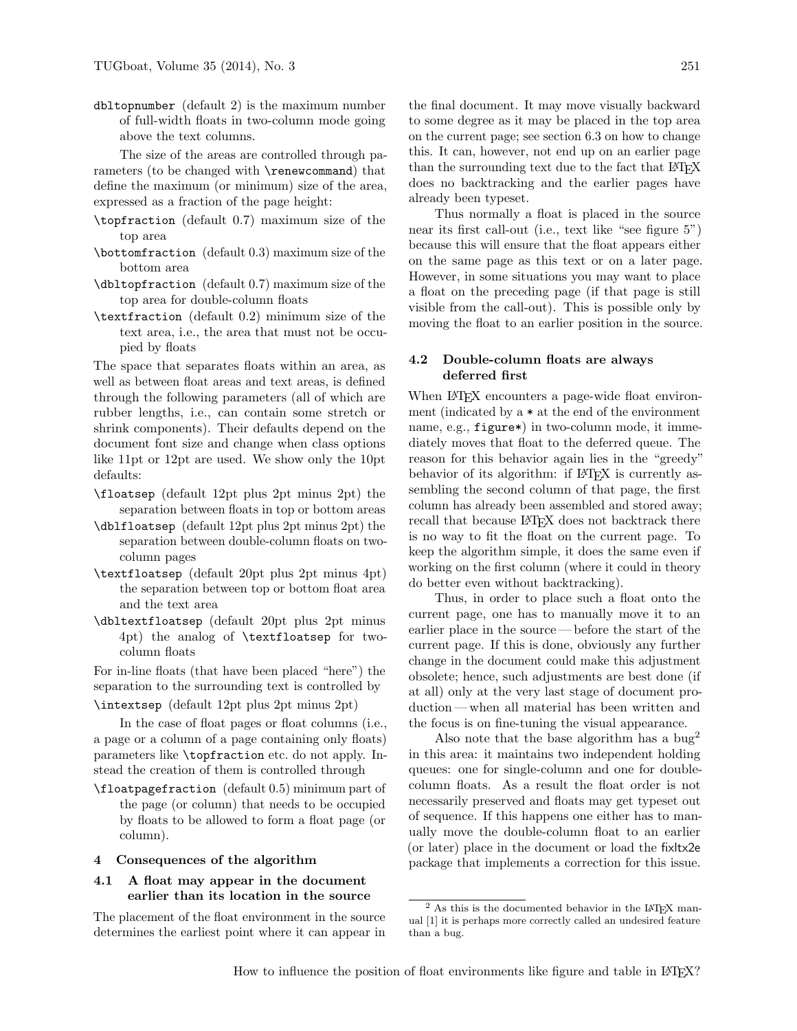dbltopnumber (default 2) is the maximum number of full-width floats in two-column mode going above the text columns.

The size of the areas are controlled through parameters (to be changed with \renewcommand) that define the maximum (or minimum) size of the area, expressed as a fraction of the page height:

- \topfraction (default 0.7) maximum size of the top area
- \bottomfraction (default 0.3) maximum size of the bottom area
- \dbltopfraction (default 0.7) maximum size of the top area for double-column floats
- \textfraction (default 0.2) minimum size of the text area, i.e., the area that must not be occupied by floats

The space that separates floats within an area, as well as between float areas and text areas, is defined through the following parameters (all of which are rubber lengths, i.e., can contain some stretch or shrink components). Their defaults depend on the document font size and change when class options like 11pt or 12pt are used. We show only the 10pt defaults:

- \floatsep (default 12pt plus 2pt minus 2pt) the separation between floats in top or bottom areas
- \dblfloatsep (default 12pt plus 2pt minus 2pt) the separation between double-column floats on twocolumn pages
- \textfloatsep (default 20pt plus 2pt minus 4pt) the separation between top or bottom float area and the text area
- \dbltextfloatsep (default 20pt plus 2pt minus 4pt) the analog of \textfloatsep for twocolumn floats

For in-line floats (that have been placed "here") the separation to the surrounding text is controlled by

\intextsep (default 12pt plus 2pt minus 2pt)

In the case of float pages or float columns (i.e., a page or a column of a page containing only floats) parameters like \topfraction etc. do not apply. Instead the creation of them is controlled through

\floatpagefraction (default 0.5) minimum part of the page (or column) that needs to be occupied by floats to be allowed to form a float page (or column).

#### 4 Consequences of the algorithm

# 4.1 A float may appear in the document earlier than its location in the source

The placement of the float environment in the source determines the earliest point where it can appear in the final document. It may move visually backward to some degree as it may be placed in the top area on the current page; see section 6.3 on how to change this. It can, however, not end up on an earlier page than the surrounding text due to the fact that LAT<sub>EX</sub> does no backtracking and the earlier pages have already been typeset.

Thus normally a float is placed in the source near its first call-out (i.e., text like "see figure 5") because this will ensure that the float appears either on the same page as this text or on a later page. However, in some situations you may want to place a float on the preceding page (if that page is still visible from the call-out). This is possible only by moving the float to an earlier position in the source.

### 4.2 Double-column floats are always deferred first

When LAT<sub>E</sub>X encounters a page-wide float environment (indicated by  $a * at the end of the environment$ name, e.g., figure\*) in two-column mode, it immediately moves that float to the deferred queue. The reason for this behavior again lies in the "greedy" behavior of its algorithm: if LAT<sub>F</sub>X is currently assembling the second column of that page, the first column has already been assembled and stored away; recall that because LAT<sub>EX</sub> does not backtrack there is no way to fit the float on the current page. To keep the algorithm simple, it does the same even if working on the first column (where it could in theory do better even without backtracking).

Thus, in order to place such a float onto the current page, one has to manually move it to an earlier place in the source— before the start of the current page. If this is done, obviously any further change in the document could make this adjustment obsolete; hence, such adjustments are best done (if at all) only at the very last stage of document production— when all material has been written and the focus is on fine-tuning the visual appearance.

Also note that the base algorithm has a bug<sup>2</sup> in this area: it maintains two independent holding queues: one for single-column and one for doublecolumn floats. As a result the float order is not necessarily preserved and floats may get typeset out of sequence. If this happens one either has to manually move the double-column float to an earlier (or later) place in the document or load the fixltx2e package that implements a correction for this issue.

 $2$  As this is the documented behavior in the LATEX manual [1] it is perhaps more correctly called an undesired feature than a bug.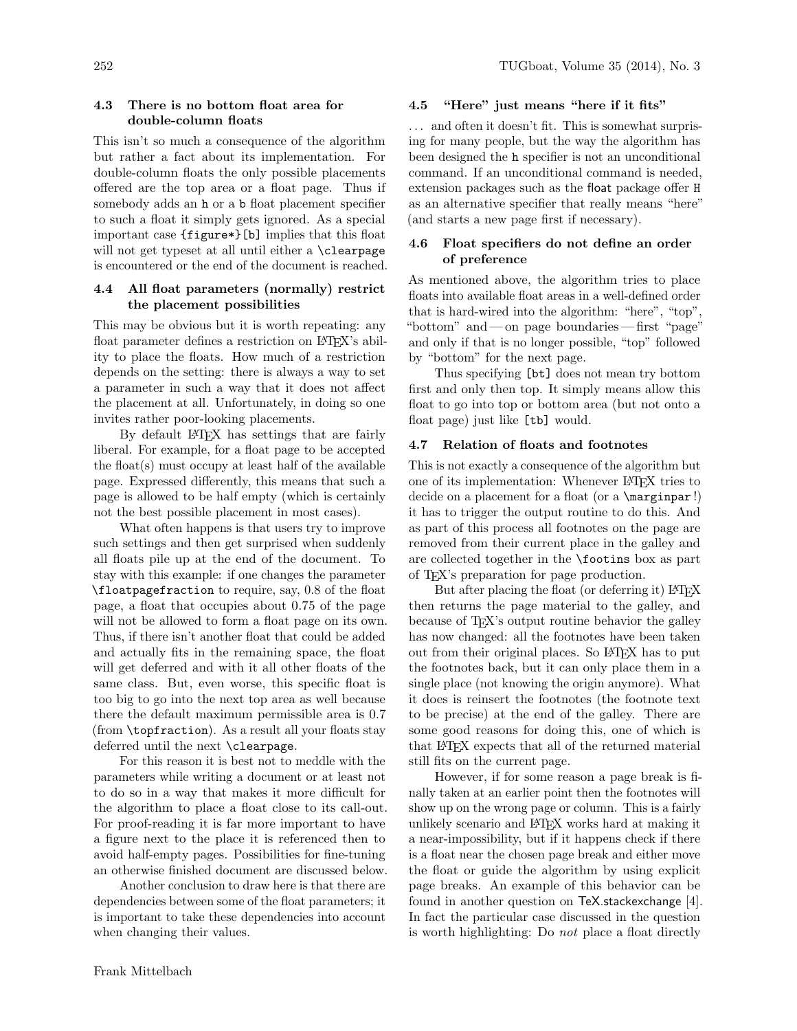# 4.3 There is no bottom float area for double-column floats

This isn't so much a consequence of the algorithm but rather a fact about its implementation. For double-column floats the only possible placements offered are the top area or a float page. Thus if somebody adds an h or a b float placement specifier to such a float it simply gets ignored. As a special important case {figure\*}[b] implies that this float will not get typeset at all until either a **\clearpage** is encountered or the end of the document is reached.

# 4.4 All float parameters (normally) restrict the placement possibilities

This may be obvious but it is worth repeating: any float parameter defines a restriction on LAT<sub>E</sub>X's ability to place the floats. How much of a restriction depends on the setting: there is always a way to set a parameter in such a way that it does not affect the placement at all. Unfortunately, in doing so one invites rather poor-looking placements.

By default LAT<sub>EX</sub> has settings that are fairly liberal. For example, for a float page to be accepted the float $(s)$  must occupy at least half of the available page. Expressed differently, this means that such a page is allowed to be half empty (which is certainly not the best possible placement in most cases).

What often happens is that users try to improve such settings and then get surprised when suddenly all floats pile up at the end of the document. To stay with this example: if one changes the parameter \floatpagefraction to require, say, 0.8 of the float page, a float that occupies about 0.75 of the page will not be allowed to form a float page on its own. Thus, if there isn't another float that could be added and actually fits in the remaining space, the float will get deferred and with it all other floats of the same class. But, even worse, this specific float is too big to go into the next top area as well because there the default maximum permissible area is 0.7 (from \topfraction). As a result all your floats stay deferred until the next \clearpage.

For this reason it is best not to meddle with the parameters while writing a document or at least not to do so in a way that makes it more difficult for the algorithm to place a float close to its call-out. For proof-reading it is far more important to have a figure next to the place it is referenced then to avoid half-empty pages. Possibilities for fine-tuning an otherwise finished document are discussed below.

Another conclusion to draw here is that there are dependencies between some of the float parameters; it is important to take these dependencies into account when changing their values.

#### 4.5 "Here" just means "here if it fits"

. . . and often it doesn't fit. This is somewhat surprising for many people, but the way the algorithm has been designed the h specifier is not an unconditional command. If an unconditional command is needed, extension packages such as the float package offer H as an alternative specifier that really means "here" (and starts a new page first if necessary).

## 4.6 Float specifiers do not define an order of preference

As mentioned above, the algorithm tries to place floats into available float areas in a well-defined order that is hard-wired into the algorithm: "here", "top", "bottom" and—on page boundaries—first "page" and only if that is no longer possible, "top" followed by "bottom" for the next page.

Thus specifying [bt] does not mean try bottom first and only then top. It simply means allow this float to go into top or bottom area (but not onto a float page) just like [tb] would.

### 4.7 Relation of floats and footnotes

This is not exactly a consequence of the algorithm but one of its implementation: Whenever LATEX tries to decide on a placement for a float (or a \marginpar!) it has to trigger the output routine to do this. And as part of this process all footnotes on the page are removed from their current place in the galley and are collected together in the \footins box as part of TEX's preparation for page production.

But after placing the float (or deferring it) LAT<sub>EX</sub> then returns the page material to the galley, and because of T<sub>EX</sub>'s output routine behavior the galley has now changed: all the footnotes have been taken out from their original places. So LAT<sub>EX</sub> has to put the footnotes back, but it can only place them in a single place (not knowing the origin anymore). What it does is reinsert the footnotes (the footnote text to be precise) at the end of the galley. There are some good reasons for doing this, one of which is that LATEX expects that all of the returned material still fits on the current page.

However, if for some reason a page break is finally taken at an earlier point then the footnotes will show up on the wrong page or column. This is a fairly unlikely scenario and LATEX works hard at making it a near-impossibility, but if it happens check if there is a float near the chosen page break and either move the float or guide the algorithm by using explicit page breaks. An example of this behavior can be found in another question on TeX.stackexchange [4]. In fact the particular case discussed in the question is worth highlighting: Do not place a float directly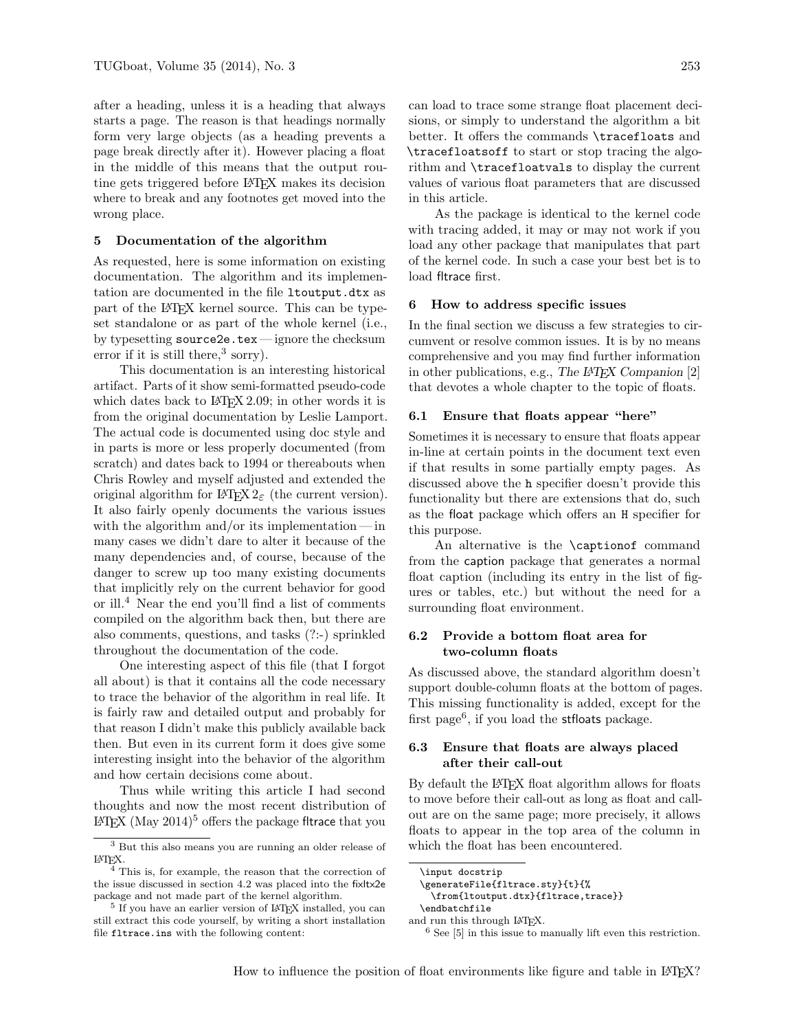after a heading, unless it is a heading that always starts a page. The reason is that headings normally form very large objects (as a heading prevents a page break directly after it). However placing a float in the middle of this means that the output routine gets triggered before LATEX makes its decision where to break and any footnotes get moved into the wrong place.

#### 5 Documentation of the algorithm

As requested, here is some information on existing documentation. The algorithm and its implementation are documented in the file ltoutput.dtx as part of the LATEX kernel source. This can be typeset standalone or as part of the whole kernel (i.e., by typesetting source2e.tex — ignore the checksum error if it is still there,<sup>3</sup> sorry).

This documentation is an interesting historical artifact. Parts of it show semi-formatted pseudo-code which dates back to  $\angle$  ET<sub>F</sub>X 2.09; in other words it is from the original documentation by Leslie Lamport. The actual code is documented using doc style and in parts is more or less properly documented (from scratch) and dates back to 1994 or thereabouts when Chris Rowley and myself adjusted and extended the original algorithm for LATEX  $2\varepsilon$  (the current version). It also fairly openly documents the various issues with the algorithm and/or its implementation— in many cases we didn't dare to alter it because of the many dependencies and, of course, because of the danger to screw up too many existing documents that implicitly rely on the current behavior for good or ill.<sup>4</sup> Near the end you'll find a list of comments compiled on the algorithm back then, but there are also comments, questions, and tasks (?:-) sprinkled throughout the documentation of the code.

One interesting aspect of this file (that I forgot all about) is that it contains all the code necessary to trace the behavior of the algorithm in real life. It is fairly raw and detailed output and probably for that reason I didn't make this publicly available back then. But even in its current form it does give some interesting insight into the behavior of the algorithm and how certain decisions come about.

Thus while writing this article I had second thoughts and now the most recent distribution of  $\text{LATEX}$  (May 2014)<sup>5</sup> offers the package fltrace that you

can load to trace some strange float placement decisions, or simply to understand the algorithm a bit better. It offers the commands \tracefloats and \tracefloatsoff to start or stop tracing the algorithm and \tracefloatvals to display the current values of various float parameters that are discussed in this article.

As the package is identical to the kernel code with tracing added, it may or may not work if you load any other package that manipulates that part of the kernel code. In such a case your best bet is to load fltrace first.

#### 6 How to address specific issues

In the final section we discuss a few strategies to circumvent or resolve common issues. It is by no means comprehensive and you may find further information in other publications, e.g., The L<sup>A</sup>TEX Companion [2] that devotes a whole chapter to the topic of floats.

#### 6.1 Ensure that floats appear "here"

Sometimes it is necessary to ensure that floats appear in-line at certain points in the document text even if that results in some partially empty pages. As discussed above the h specifier doesn't provide this functionality but there are extensions that do, such as the float package which offers an H specifier for this purpose.

An alternative is the \captionof command from the caption package that generates a normal float caption (including its entry in the list of figures or tables, etc.) but without the need for a surrounding float environment.

## 6.2 Provide a bottom float area for two-column floats

As discussed above, the standard algorithm doesn't support double-column floats at the bottom of pages. This missing functionality is added, except for the first page<sup>6</sup>, if you load the stfloats package.

## 6.3 Ensure that floats are always placed after their call-out

By default the LAT<sub>EX</sub> float algorithm allows for floats to move before their call-out as long as float and callout are on the same page; more precisely, it allows floats to appear in the top area of the column in which the float has been encountered.

<sup>6</sup> See [5] in this issue to manually lift even this restriction.

<sup>3</sup> But this also means you are running an older release of LATEX.

<sup>&</sup>lt;sup>4</sup> This is, for example, the reason that the correction of the issue discussed in section 4.2 was placed into the fixltx2e package and not made part of the kernel algorithm.

 $^5$  If you have an earlier version of  $\rm \emph{LATEX}$  installed, you can still extract this code yourself, by writing a short installation file fltrace.ins with the following content:

<sup>\</sup>input docstrip \generateFile{fltrace.sty}{t}{% \from{ltoutput.dtx}{fltrace,trace}}

<sup>\</sup>endbatchfile

and run this through LATEX.